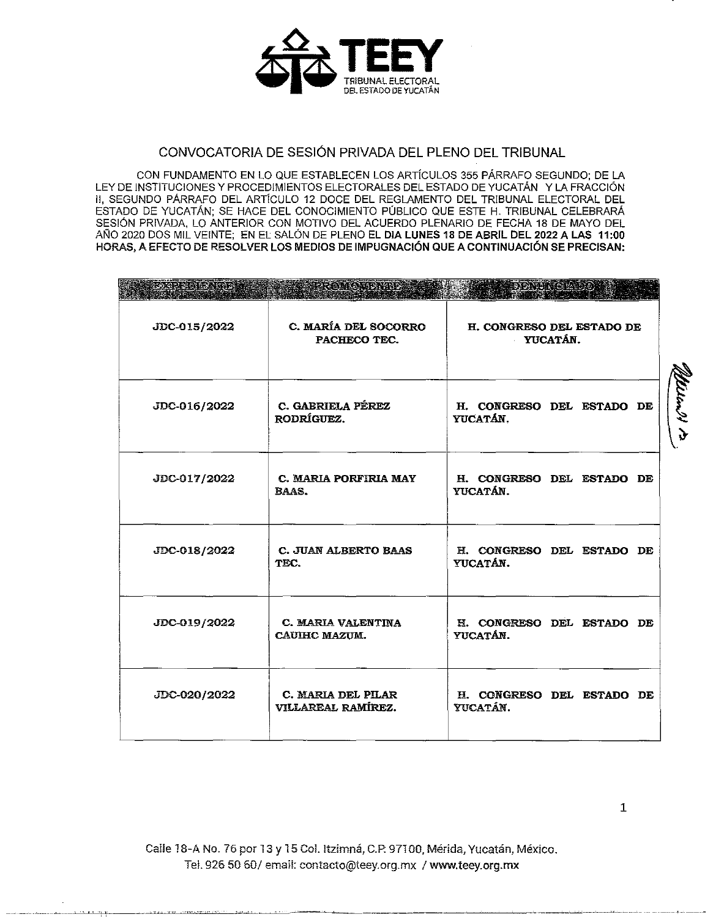

## CONVOCATORIA DE SESIÓN PRIVADA DEL PLENO DEL TRIBUNAL

CON FUNDAMENTO EN LO QUE ESTABLECEN LOS ARTÍCULOS 355 PÁRRAFO SEGUNDO: DE LA LEY DE INSTITUCIONES Y PROCEDIMIENTOS ELECTORALES DEL ESTADO DE YUCATÁN Y LA FRACCIÓN II, SEGUNDO PÁRRAFO DEL ARTÍCULO 12 DOCE DEL REGLAMENTO DEL TRIBUNAL ELECTORAL DEL ESTADO DE YUCATÁN; SE HACE DEL CONOCIMIENTO PÚBLICO QUE ESTE H. TRIBUNAL CELEBRARÁ SESIÓN PRIVADA, LO ANTERIOR CON MOTIVO DEL ACUERDO PLENARIO DE FECHA 18 DE MAYO DEL AÑO 2020 DOS MIL VEINTE; EN EL SALÓN DE PLENO EL DIA LUNES 18 DE ABRIL DEL 2022 A LAS 11:00 HORAS, A EFECTO DE RESOLVER LOS MEDIOS DE IMPUGNACIÓN QUE A CONTINUACIÓN SE PRECISAN:

| axod di cina (nno 1 | <u>SER COMOVERNEDA</u>                     | ODDA HOLY CIRVD OF                    |  |  |  |
|---------------------|--------------------------------------------|---------------------------------------|--|--|--|
| JDC-015/2022        | C. MARÍA DEL SOCORRO<br>PACHECO TEC.       | H. CONGRESO DEL ESTADO DE<br>YUCATAN. |  |  |  |
| JDC-016/2022        | C. GABRIELA PÉREZ<br><b>RODRÍGUEZ.</b>     | H. CONGRESO DEL ESTADO DE<br>YUCATÁN. |  |  |  |
| JDC-017/2022        | C. MARIA PORFIRIA MAY<br><b>BAAS.</b>      | H. CONGRESO DEL ESTADO DE<br>YUCATÁN. |  |  |  |
| JDC-018/2022        | <b>C. JUAN ALBERTO BAAS</b><br>TEC.        | H. CONGRESO DEL ESTADO DE<br>YUCATÁN. |  |  |  |
| JDC-019/2022        | C. MARIA VALENTINA<br><b>CAUIHC MAZUM.</b> | H. CONGRESO DEL ESTADO DE<br>YUCATÁN. |  |  |  |
| JDC-020/2022        | C. MARIA DEL PILAR<br>VILLAREAL RAMÍREZ.   | H. CONGRESO DEL ESTADO DE<br>YUCATÁN. |  |  |  |

Calle 18-A No. 76 por 13 y 15 Col. Itzimná, C.P. 97100, Mérida, Yucatán, México. Tel. 926 50 60/ email: contacto@teey.org.mx / www.teey.org.mx

Melen II in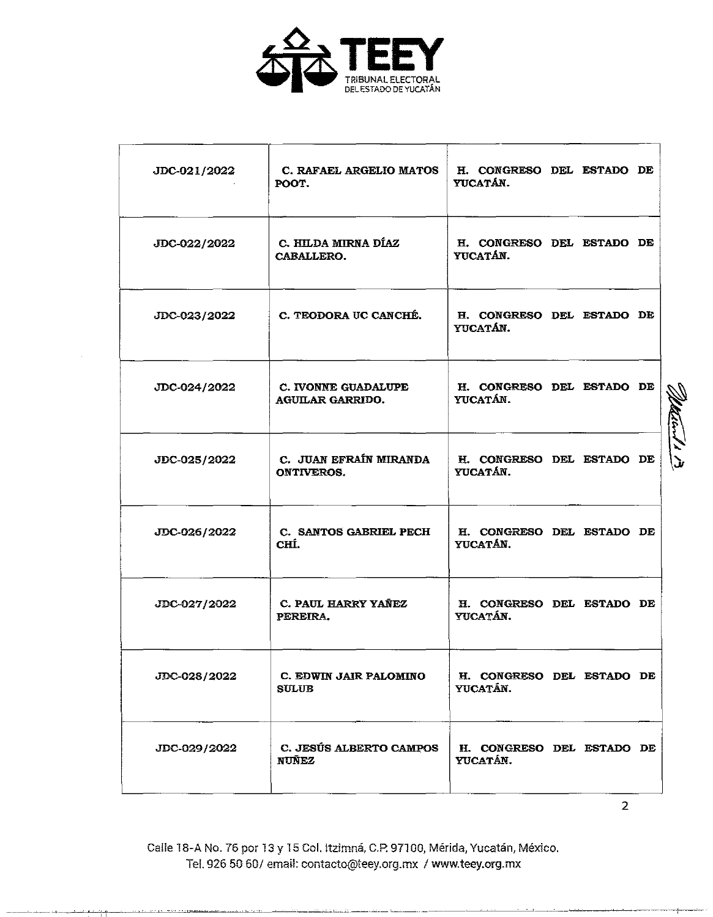

| JDC-021/2022 | C. RAFAEL ARGELIO MATOS<br>POOT.               | H. CONGRESO DEL ESTADO DE<br>YUCATÁN. |  |  |
|--------------|------------------------------------------------|---------------------------------------|--|--|
| JDC-022/2022 | C. HILDA MIRNA DÍAZ<br>CABALLERO.              | H. CONGRESO DEL ESTADO DE<br>YUCATÁN. |  |  |
| JDC-023/2022 | C. TEODORA UC CANCHÉ.                          | H. CONGRESO DEL ESTADO DE<br>YUCATÁN. |  |  |
| JDC-024/2022 | C. IVONNE GUADALUPE<br><b>AGUILAR GARRIDO.</b> | H. CONGRESO DEL ESTADO DE<br>YUCATÁN. |  |  |
| JDC-025/2022 | C. JUAN EFRAÍN MIRANDA<br><b>ONTIVEROS.</b>    | H. CONGRESO DEL ESTADO DE<br>YUCATÁN. |  |  |
| JDC-026/2022 | C. SANTOS GABRIEL PECH<br>CHÍ.                 | H. CONGRESO DEL ESTADO DE<br>YUCATÁN. |  |  |
| JDC-027/2022 | C. PAUL HARRY YAÑEZ<br>PEREIRA.                | H. CONGRESO DEL ESTADO DE<br>YUCATÁN. |  |  |
| JDC-028/2022 | C. EDWIN JAIR PALOMINO<br><b>SULUB</b>         | H. CONGRESO DEL ESTADO DE<br>YUCATÁN. |  |  |
| JDC-029/2022 | <b>C. JESÚS ALBERTO CAMPOS</b><br><b>NUÑEZ</b> | H. CONGRESO DEL ESTADO DE<br>YUCATÁN. |  |  |

2

Ca!le 18-A No. 76 por 13 y 15 Col. ltzimná, C.P. 97100, Mérida, Yucatán, México. Tel. 926 50 60/ email: contacto@teey.org.mx 1 www.teey.org.mx

~  $\mathbb{Z}$ .. ' *..JI*